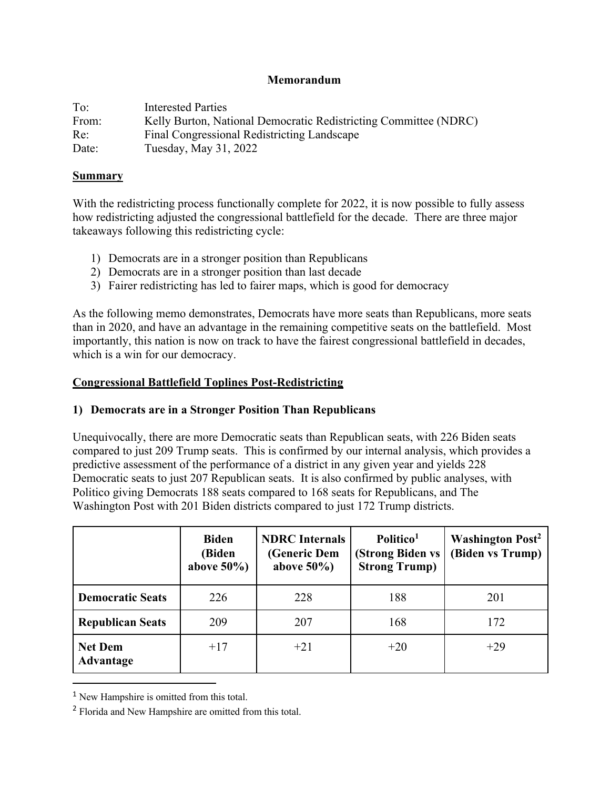### **Memorandum**

| To:   | Interested Parties                                               |
|-------|------------------------------------------------------------------|
| From: | Kelly Burton, National Democratic Redistricting Committee (NDRC) |
| Re:   | Final Congressional Redistricting Landscape                      |
| Date: | Tuesday, May 31, 2022                                            |

#### **Summary**

With the redistricting process functionally complete for 2022, it is now possible to fully assess how redistricting adjusted the congressional battlefield for the decade. There are three major takeaways following this redistricting cycle:

- 1) Democrats are in a stronger position than Republicans
- 2) Democrats are in a stronger position than last decade
- 3) Fairer redistricting has led to fairer maps, which is good for democracy

As the following memo demonstrates, Democrats have more seats than Republicans, more seats than in 2020, and have an advantage in the remaining competitive seats on the battlefield. Most importantly, this nation is now on track to have the fairest congressional battlefield in decades, which is a win for our democracy.

# **Congressional Battlefield Toplines Post-Redistricting**

### **1) Democrats are in a Stronger Position Than Republicans**

Unequivocally, there are more Democratic seats than Republican seats, with 226 Biden seats compared to just 209 Trump seats. This is confirmed by our internal analysis, which provides a predictive assessment of the performance of a district in any given year and yields 228 Democratic seats to just 207 Republican seats. It is also confirmed by public analyses, with Politico giving Democrats 188 seats compared to 168 seats for Republicans, and The Washington Post with 201 Biden districts compared to just 172 Trump districts.

|                                    | <b>Biden</b><br>(Biden<br>above $50\%$ ) | <b>NDRC</b> Internals<br>(Generic Dem<br>above $50\%$ ) | Politico <sup>1</sup><br>(Strong Biden vs<br><b>Strong Trump)</b> | <b>Washington Post<sup>2</sup></b><br>(Biden vs Trump) |
|------------------------------------|------------------------------------------|---------------------------------------------------------|-------------------------------------------------------------------|--------------------------------------------------------|
| <b>Democratic Seats</b>            | 226                                      | 228                                                     | 188                                                               | 201                                                    |
| <b>Republican Seats</b>            | 209                                      | 207                                                     | 168                                                               | 172                                                    |
| <b>Net Dem</b><br><b>Advantage</b> | $+17$                                    | $+21$                                                   | $+20$                                                             | $+29$                                                  |

<sup>&</sup>lt;sup>1</sup> New Hampshire is omitted from this total.

<sup>2</sup> Florida and New Hampshire are omitted from this total.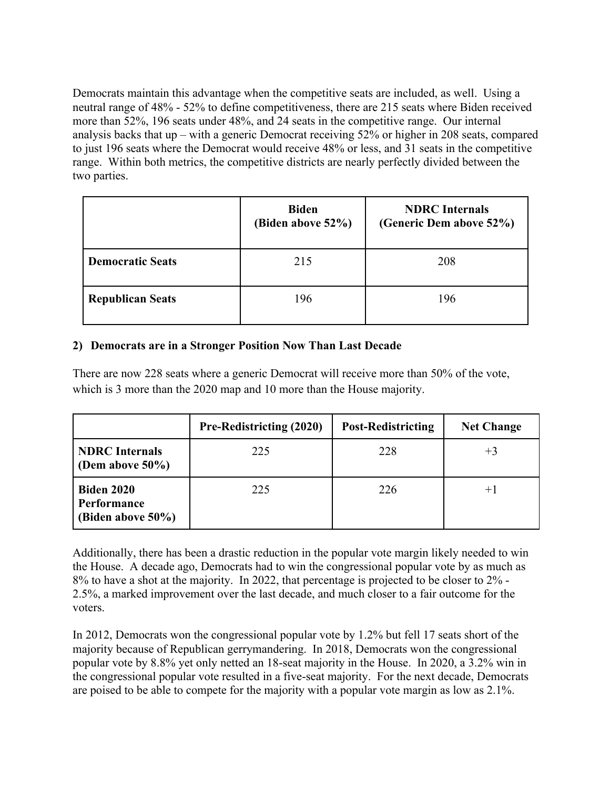Democrats maintain this advantage when the competitive seats are included, as well. Using a neutral range of 48% - 52% to define competitiveness, there are 215 seats where Biden received more than 52%, 196 seats under 48%, and 24 seats in the competitive range. Our internal analysis backs that up – with a generic Democrat receiving 52% or higher in 208 seats, compared to just 196 seats where the Democrat would receive 48% or less, and 31 seats in the competitive range. Within both metrics, the competitive districts are nearly perfectly divided between the two parties.

|                         | <b>Biden</b><br>(Biden above 52%) | <b>NDRC</b> Internals<br>(Generic Dem above 52%) |
|-------------------------|-----------------------------------|--------------------------------------------------|
| <b>Democratic Seats</b> | 215                               | 208                                              |
| <b>Republican Seats</b> | 196                               | 196                                              |

# **2) Democrats are in a Stronger Position Now Than Last Decade**

There are now 228 seats where a generic Democrat will receive more than 50% of the vote, which is 3 more than the 2020 map and 10 more than the House majority.

|                                                       | <b>Pre-Redistricting (2020)</b> | <b>Post-Redistricting</b> | <b>Net Change</b> |
|-------------------------------------------------------|---------------------------------|---------------------------|-------------------|
| <b>NDRC</b> Internals<br>(Dem above $50\%$ )          | 225                             | 228                       | $+3$              |
| <b>Biden 2020</b><br>Performance<br>(Biden above 50%) | 225                             | 226                       | $+1$              |

Additionally, there has been a drastic reduction in the popular vote margin likely needed to win the House. A decade ago, Democrats had to win the congressional popular vote by as much as 8% to have a shot at the majority. In 2022, that percentage is projected to be closer to 2% - 2.5%, a marked improvement over the last decade, and much closer to a fair outcome for the voters.

In 2012, Democrats won the congressional popular vote by 1.2% but fell 17 seats short of the majority because of Republican gerrymandering. In 2018, Democrats won the congressional popular vote by 8.8% yet only netted an 18-seat majority in the House. In 2020, a 3.2% win in the congressional popular vote resulted in a five-seat majority. For the next decade, Democrats are poised to be able to compete for the majority with a popular vote margin as low as 2.1%.